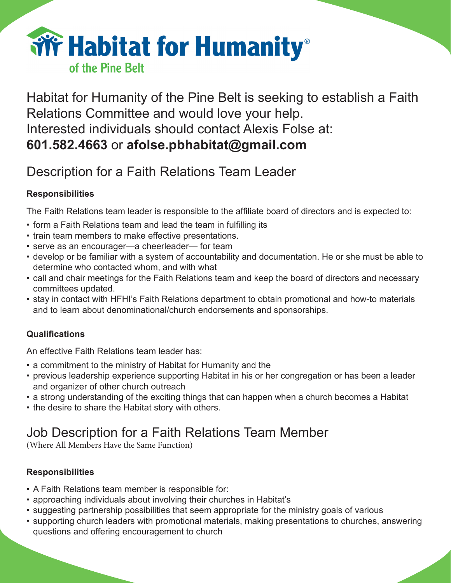

Habitat for Humanity of the Pine Belt is seeking to establish a Faith Relations Committee and would love your help. Interested individuals should contact Alexis Folse at: **601.582.4663** or **afolse.pbhabitat@gmail.com**

## Description for a Faith Relations Team Leader

### **Responsibilities**

The Faith Relations team leader is responsible to the affiliate board of directors and is expected to:

- form a Faith Relations team and lead the team in fulfilling its
- train team members to make effective presentations.
- serve as an encourager—a cheerleader— for team
- develop or be familiar with a system of accountability and documentation. He or she must be able to determine who contacted whom, and with what
- call and chair meetings for the Faith Relations team and keep the board of directors and necessary committees updated.
- stay in contact with HFHI's Faith Relations department to obtain promotional and how-to materials and to learn about denominational/church endorsements and sponsorships.

### **Qualifications**

An effective Faith Relations team leader has:

- a commitment to the ministry of Habitat for Humanity and the
- previous leadership experience supporting Habitat in his or her congregation or has been a leader and organizer of other church outreach
- a strong understanding of the exciting things that can happen when a church becomes a Habitat
- the desire to share the Habitat story with others.

# Job Description for a Faith Relations Team Member

(Where All Members Have the Same Function)

### **Responsibilities**

- A Faith Relations team member is responsible for:
- approaching individuals about involving their churches in Habitat's
- suggesting partnership possibilities that seem appropriate for the ministry goals of various
- supporting church leaders with promotional materials, making presentations to churches, answering questions and offering encouragement to church